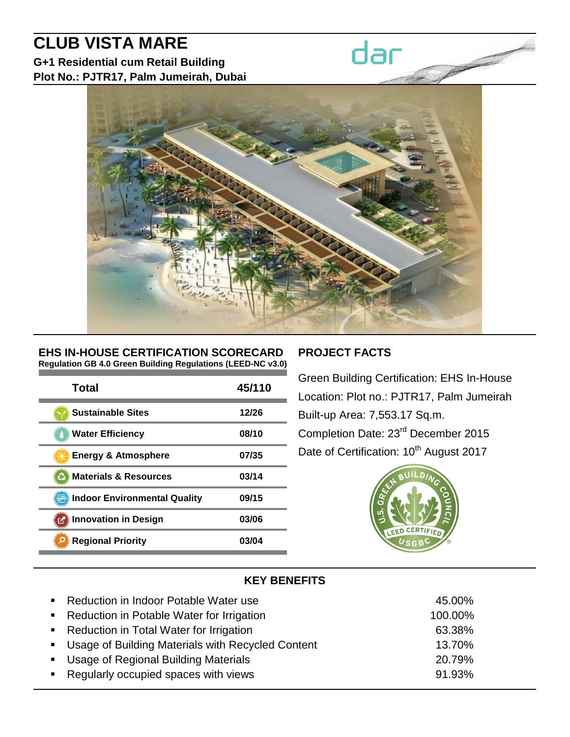# **CLUB VISTA MARE**

**G+1 Residential cum Retail Building Plot No.: PJTR17, Palm Jumeirah, Dubai**



#### **EHS IN-HOUSE CERTIFICATION SCORECARD Regulation GB 4.0 Green Building Regulations (LEED-NC v3.0)**

| Total                               | 45/110 |
|-------------------------------------|--------|
| <b>Sustainable Sites</b>            | 12/26  |
| <b>Water Efficiency</b>             | 08/10  |
| <b>Energy &amp; Atmosphere</b>      | 07/35  |
| <b>Materials &amp; Resources</b>    | 03/14  |
| <b>Indoor Environmental Quality</b> | 09/15  |
| <b>Innovation in Design</b><br>K    | 03/06  |
| <b>Regional Priority</b>            | 03/04  |

# **PROJECT FACTS**

dar

Green Building Certification: EHS In-House Location: Plot no.: PJTR17, Palm Jumeirah Built-up Area: 7,553.17 Sq.m. Completion Date: 23rd December 2015 Date of Certification: 10<sup>th</sup> August 2017



# **KEY BENEFITS**

| • Reduction in Indoor Potable Water use             | 45.00%  |
|-----------------------------------------------------|---------|
| • Reduction in Potable Water for Irrigation         | 100.00% |
| • Reduction in Total Water for Irrigation           | 63.38%  |
| • Usage of Building Materials with Recycled Content | 13.70%  |
| • Usage of Regional Building Materials              | 20.79%  |
| ■ Regularly occupied spaces with views              | 91.93%  |